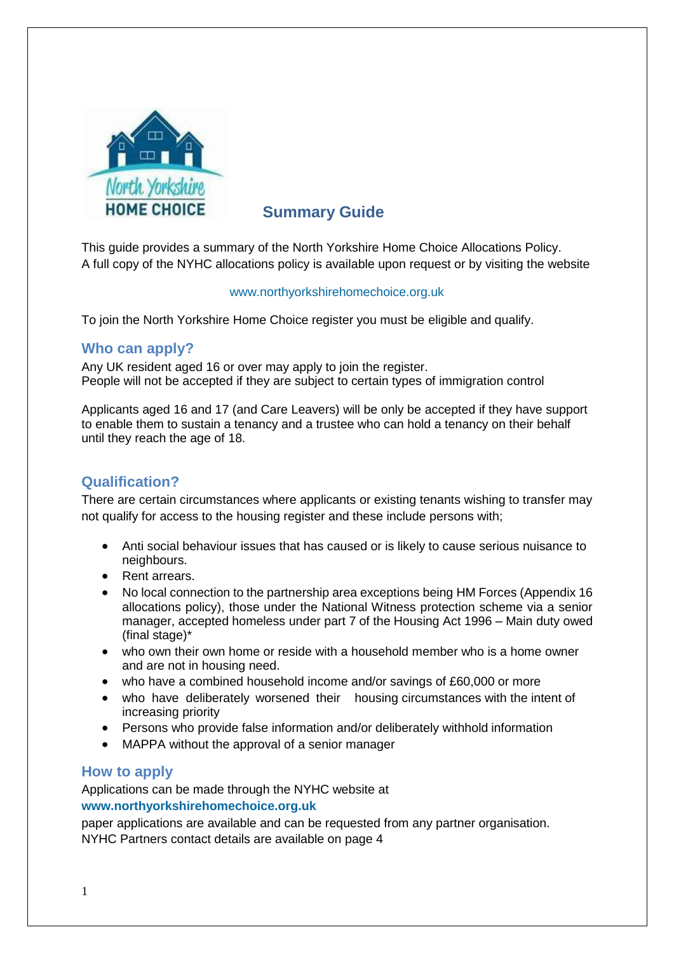

# **Summary Guide**

This guide provides a summary of the North Yorkshire Home Choice Allocations Policy. A full copy of the NYHC allocations policy is available upon request or by visiting the website

#### [www.northyorkshirehomechoice.org.uk](http://www.northyorkshirehomechoice.org.uk/)

To join the North Yorkshire Home Choice register you must be eligible and qualify.

### **Who can apply?**

Any UK resident aged 16 or over may apply to join the register. People will not be accepted if they are subject to certain types of immigration control

Applicants aged 16 and 17 (and Care Leavers) will be only be accepted if they have support to enable them to sustain a tenancy and a trustee who can hold a tenancy on their behalf until they reach the age of 18.

# **Qualification?**

There are certain circumstances where applicants or existing tenants wishing to transfer may not qualify for access to the housing register and these include persons with;

- Anti social behaviour issues that has caused or is likely to cause serious nuisance to neighbours.
- Rent arrears.
- No local connection to the partnership area exceptions being HM Forces (Appendix 16 allocations policy), those under the National Witness protection scheme via a senior manager, accepted homeless under part 7 of the Housing Act 1996 – Main duty owed (final stage)\*
- who own their own home or reside with a household member who is a home owner and are not in housing need.
- who have a combined household income and/or savings of £60,000 or more
- who have deliberately worsened their housing circumstances with the intent of increasing priority
- Persons who provide false information and/or deliberately withhold information
- MAPPA without the approval of a senior manager

### **How to apply**

Applications can be made through the NYHC website at **[www.northyorkshirehomechoice.org.uk](http://www.northyorkshirehomechoice.org.uk/)**

paper applications are available and can be requested from any partner organisation. NYHC Partners contact details are available on page 4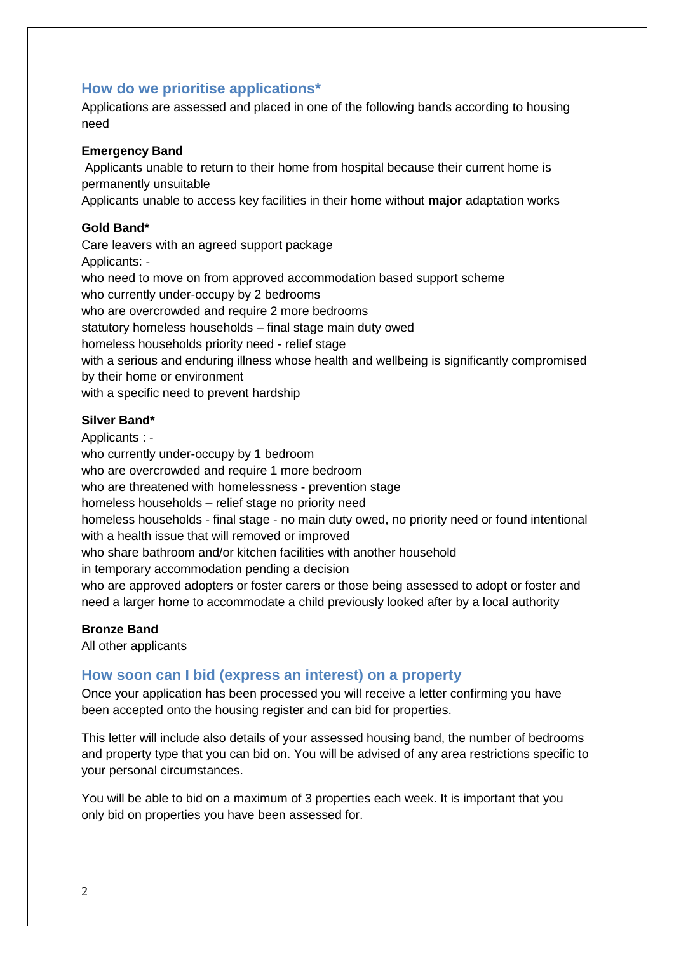# **How do we prioritise applications\***

Applications are assessed and placed in one of the following bands according to housing need

#### **Emergency Band**

Applicants unable to return to their home from hospital because their current home is permanently unsuitable

Applicants unable to access key facilities in their home without **major** adaptation works

#### **Gold Band\***

Care leavers with an agreed support package Applicants: who need to move on from approved accommodation based support scheme who currently under-occupy by 2 bedrooms who are overcrowded and require 2 more bedrooms statutory homeless households – final stage main duty owed homeless households priority need - relief stage with a serious and enduring illness whose health and wellbeing is significantly compromised by their home or environment with a specific need to prevent hardship

#### **Silver Band\***

Applicants : who currently under-occupy by 1 bedroom who are overcrowded and require 1 more bedroom who are threatened with homelessness - prevention stage homeless households – relief stage no priority need homeless households - final stage - no main duty owed, no priority need or found intentional with a health issue that will removed or improved who share bathroom and/or kitchen facilities with another household in temporary accommodation pending a decision who are approved adopters or foster carers or those being assessed to adopt or foster and need a larger home to accommodate a child previously looked after by a local authority

#### **Bronze Band**

All other applicants

#### **How soon can I bid (express an interest) on a property**

Once your application has been processed you will receive a letter confirming you have been accepted onto the housing register and can bid for properties.

This letter will include also details of your assessed housing band, the number of bedrooms and property type that you can bid on. You will be advised of any area restrictions specific to your personal circumstances.

You will be able to bid on a maximum of 3 properties each week. It is important that you only bid on properties you have been assessed for.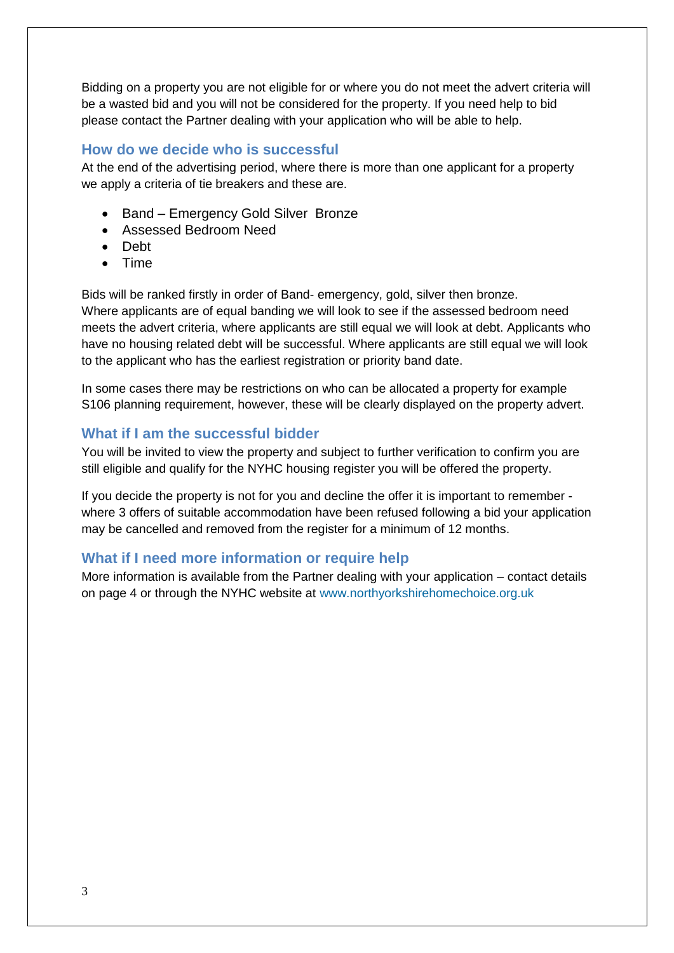Bidding on a property you are not eligible for or where you do not meet the advert criteria will be a wasted bid and you will not be considered for the property. If you need help to bid please contact the Partner dealing with your application who will be able to help.

## **How do we decide who is successful**

At the end of the advertising period, where there is more than one applicant for a property we apply a criteria of tie breakers and these are.

- Band Emergency Gold Silver Bronze
- Assessed Bedroom Need
- Debt
- Time

Bids will be ranked firstly in order of Band- emergency, gold, silver then bronze. Where applicants are of equal banding we will look to see if the assessed bedroom need meets the advert criteria, where applicants are still equal we will look at debt. Applicants who have no housing related debt will be successful. Where applicants are still equal we will look to the applicant who has the earliest registration or priority band date.

In some cases there may be restrictions on who can be allocated a property for example S106 planning requirement, however, these will be clearly displayed on the property advert.

### **What if I am the successful bidder**

You will be invited to view the property and subject to further verification to confirm you are still eligible and qualify for the NYHC housing register you will be offered the property.

If you decide the property is not for you and decline the offer it is important to remember where 3 offers of suitable accommodation have been refused following a bid your application may be cancelled and removed from the register for a minimum of 12 months.

# **What if I need more information or require help**

More information is available from the Partner dealing with your application – contact details on page 4 or through the NYHC website at [www.northyorkshirehomechoice.org.uk](http://www.northyorkshirehomechoice.org.uk/)